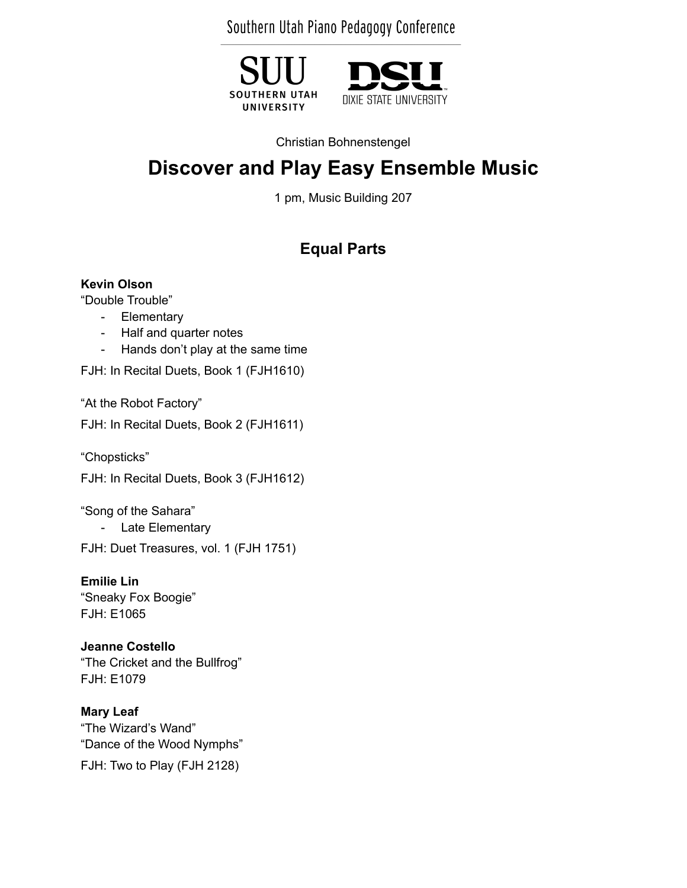Southern Utah Piano Pedagogy Conference

**SOUTHERN UTAH** UNIVERSITY



Christian Bohnenstengel

# **Discover and Play Easy Ensemble Music**

1 pm, Music Building 207

## **Equal Parts**

#### **Kevin Olson**

"Double Trouble"

- Elementary
- Half and quarter notes
- Hands don't play at the same time

FJH: In Recital Duets, Book 1 (FJH1610)

"At the Robot Factory"

FJH: In Recital Duets, Book 2 (FJH1611)

"Chopsticks"

FJH: In Recital Duets, Book 3 (FJH1612)

"Song of the Sahara" - Late Elementary

FJH: Duet Treasures, vol. 1 (FJH 1751)

**Emilie Lin** "Sneaky Fox Boogie" FJH: E1065

**Jeanne Costello** "The Cricket and the Bullfrog" FJH: E1079

**Mary Leaf** "The Wizard's Wand" "Dance of the Wood Nymphs"

FJH: Two to Play (FJH 2128)